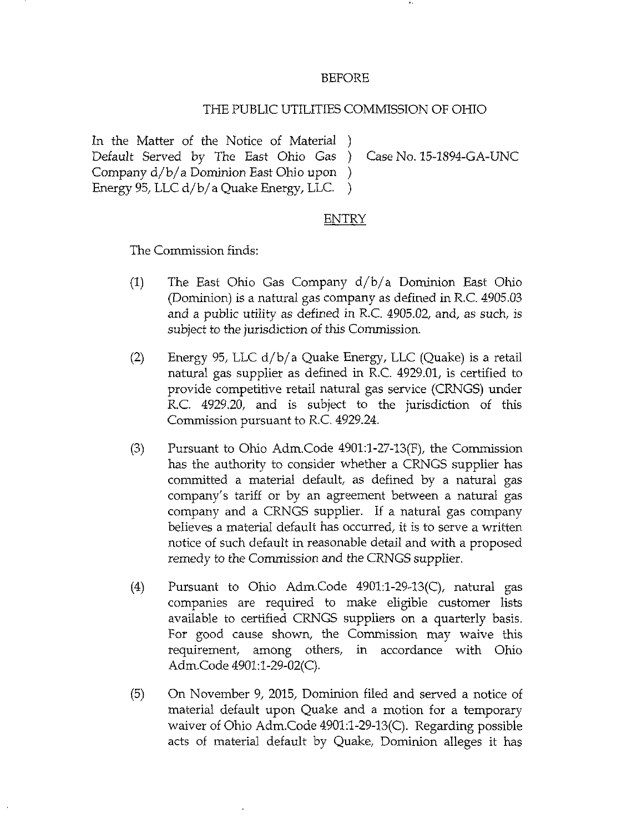## BEFORE

## THE PUBLIC UTILITIES COMMISSION OF OHIO

In the Matter of the Notice of Material ) Default Served by The East Ohio Gas ) Case No. 15-1894-GA-UNC Company d/b/ a Dominion East Ohio upon ) Energy 95, LLC d/b/a Quake Energy, LLC.

## ENTRY

The Commission finds:

- (1) The East Ohio Gas Company  $d/b/a$  Dominion East Ohio (Dominion) is a natural gas company as defined in R.C. 4905.03 and a public utility as defined in R.C. 4905.02, and, as such, is subject to the jurisdiction of this Commission.
- (2) Energy 95, LLC  $d/b/a$  Quake Energy, LLC (Quake) is a retail natural gas supplier as defined in R.C. 4929.01, is certified to provide competitive retail natural gas service (CRNGS) under R.C. 4929.20, and is subject to the jurisdiction of this Commission pursuant to R.C. 4929.24.
- (3) Pursuant to Ohio Adm.Code 4901:l-27-13(F), the Commission has the authority to consider whether a CRNGS supplier has committed a material default, as defined by a natural gas company's tariff or by an agreement between a natural gas company and a CRNGS supplier. If a natural gas company believes a material default has occurred, it is to serve a written notice of such default in reasonable detail and with a proposed remedy to the Commission and the CRNGS supplier.
- (4) Pursuant to Ohio Adm.Code 4901:l-29-13(C), natural gas companies are required to make eligible customer lists available to certified CRNGS suppliers on a quarterly basis. For good cause shown, the Commission may waive this requirement, among others, in accordance with Ohio Adm.Code 4901:1-29-02(C).
- (5) On November 9, 2015, Dominion filed and served a notice of material default upon Quake and a motion for a temporary waiver of Ohio Adm.Code 4901:l-29-13(C). Regarding possible acts of material default by Quake, Dominion alleges it has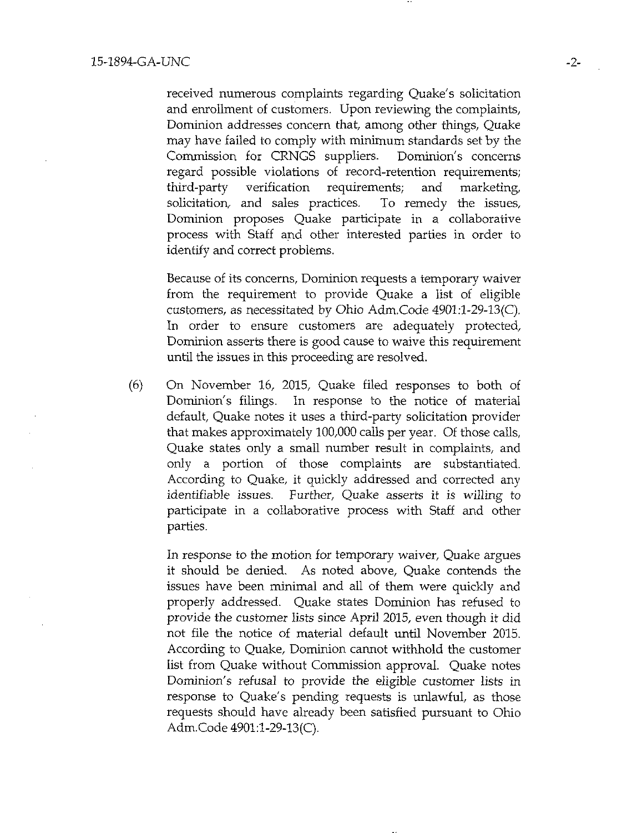received numerous complaints regarding Quake's solicitation and enrollment of customers. Upon reviewing the complaints, Dominion addresses concern that, among other things. Quake may have failed to comply with minimum standards set by the Commission for CRNGS suppliers. Dominion's concerns regard possible violations of record-retention requirements; third-party verification requirements; and marketing, solicitation, and sales practices. To remedy the issues, Dominion proposes Quake participate in a collaborative process with Staff and other interested parties in order to identify and correct problems.

Because of its concerns. Dominion requests a temporary waiver from the requirement to provide Quake a list of eligible customers, as necessitated by Ohio Adm.Code 4901:l-29-13(C). In order to ensure customers are adequately protected, Dominion asserts there is good cause to waive this requirement until the issues in this proceeding are resolved.

(6) On November 16, 2015, Quake filed responses to both of Dominion's filings. In response to the notice of material default, Quake notes it uses a third-party solicitation provider that makes approximately 100,000 calls per year. Of those calls, Quake states only a small number result in complaints, and only a portion of those complaints are substantiated. According to Quake, it quickly addressed and corrected any identifiable issues. Further, Quake asserts it is willing to participate in a collaborative process with Staff and other parties.

In response to the motion for temporary waiver, Quake argues it should be denied. As noted above. Quake contends the issues have been minimal and all of them were quickly and properly addressed. Quake states Dominion has refused to provide the customer lists since April 2015, even though it did not file the notice of material default until November 2015. According to Quake, Dominion carmot withhold the customer list from Quake without Commission approval. Quake notes Dominion's refusal to provide the eligible customer lists in response to Quake's pending requests is unlawful, as those requests should have already been satisfied pursuant to Ohio Adm. Code 4901:1-29-13(C).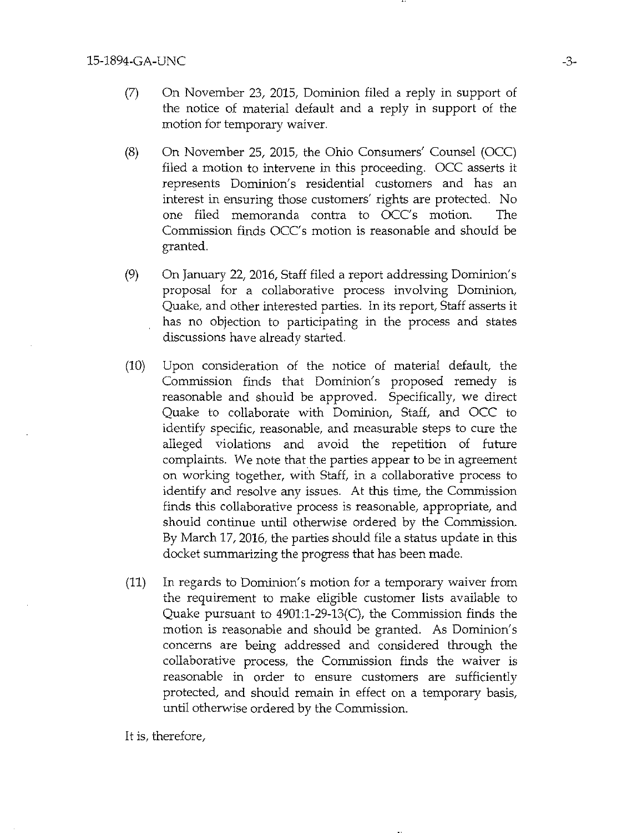- (7) On November 23, 2015, Dominion filed a reply in support of the notice of material default and a reply in support of the motion for temporary waiver.
- (8) On November 25, 2015, the Ohio Consumers' Counsel (OCC) filed a motion to intervene in this proceeding. OCC asserts it represents Dominion's residential customers and has an interest in ensuring those customers' rights are protected. No one filed memoranda contra to OCC's motion. The Commission finds OCC's motion is reasonable and should be granted.
- (9) On January 22, 2016, Staff filed a report addressing Dominion's proposal for a collaborative process involving Dominion, Quake, and other interested parties. In its report. Staff asserts it has no objection to participating in the process and states discussions have already started.
- (10) Upon consideration of the notice of material default, the Commission finds that Dominion's proposed remedy is reasonable and should be approved. Specifically, we direct Quake to collaborate with Dominion, Staff, and OCC to identify specific, reasonable, and measurable steps to cure the alleged violations and avoid the repetition of future complaints. We note that the parties appear to be in agreement on working together, with Staff, in a collaborative process to identify and resolve any issues. At this time, the Commission finds this collaborative process is reasonable, appropriate, and should continue until otherwise ordered by the Commission. By March 17, 2016, the parties should file a status update in this docket summarizing the progress that has been made.
- (11) In regards to Dominion's motion for a temporary waiver from the requirement to make eligible customer lists available to Quake pursuant to 4901:1-29-13(0), the Commission finds the motion is reasonable and should be granted. As Dominion's concerns are being addressed and considered through the collaborative process, the Commission finds the waiver is reasonable in order to ensure customers are sufficiently protected, and should remain in effect on a temporary basis, until otherwise ordered by the Commission.

It is, therefore.